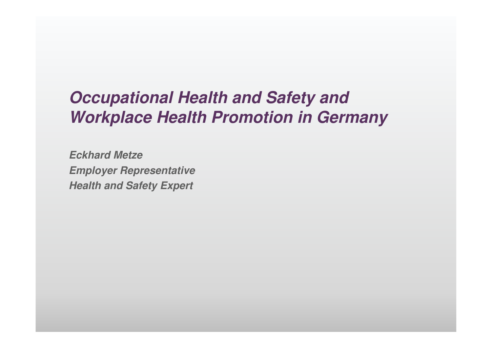# **Occupational Health and Safety and Workplace Health Promotion in Germany**

**Eckhard Metze Employer Representative Health and Safety Expert**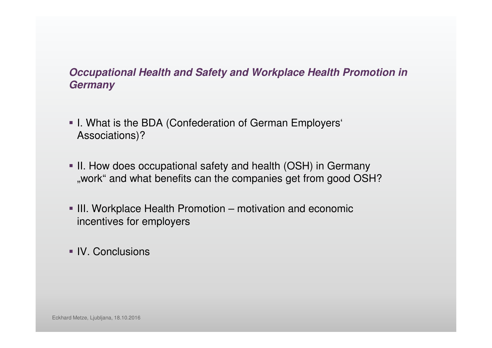#### **Occupational Health and Safety and Workplace Health Promotion in Germany**

- I. What is the BDA (Confederation of German Employers' Associations)?
- II. How does occupational safety and health (OSH) in Germany "work" and what benefits can the companies get from good OSH?
- III. Workplace Health Promotion motivation and economic incentives for employers
- IV. Conclusions

Eckhard Metze, Ljubljana, 18.10.2016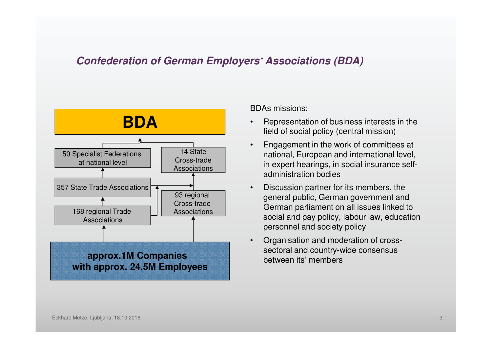#### **Confederation of German Employers' Associations (BDA)**



BDAs missions:

- • Representation of business interests in the field of social policy (central mission)
- • Engagement in the work of committees at national, European and international level, in expert hearings, in social insurance selfadministration bodies
- • Discussion partner for its members, the general public, German government and German parliament on all issues linked to social and pay policy, labour law, education personnel and society policy
- • Organisation and moderation of crosssectoral and country-wide consensus between its' members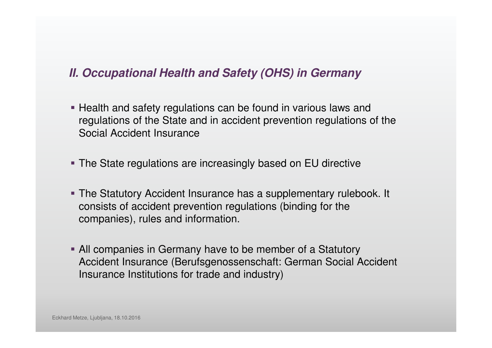- **Health and safety regulations can be found in various laws and** regulations of the State and in accident prevention regulations of the Social Accident Insurance
- The State regulations are increasingly based on EU directive
- The Statutory Accident Insurance has a supplementary rulebook. It consists of accident prevention regulations (binding for the companies), rules and information.
- All companies in Germany have to be member of a Statutory Accident Insurance (Berufsgenossenschaft: German Social Accident Insurance Institutions for trade and industry)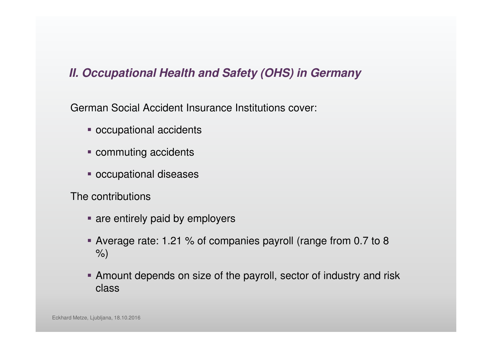German Social Accident Insurance Institutions cover:

- **occupational accidents**
- **Commuting accidents**
- occupational diseases

The contributions

- **are entirely paid by employers**
- Average rate: 1.21 % of companies payroll (range from 0.7 to 8 %)
- Amount depends on size of the payroll, sector of industry and risk class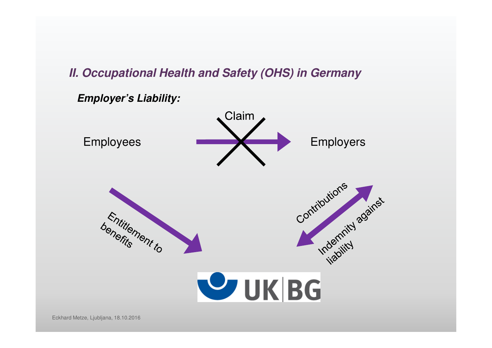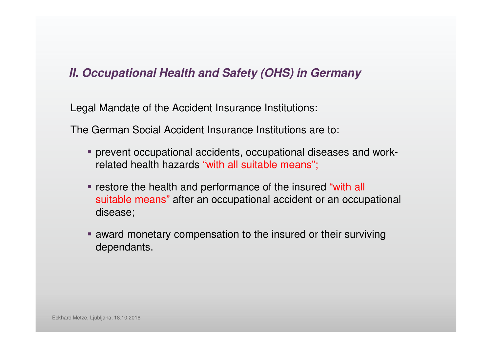Legal Mandate of the Accident Insurance Institutions:

The German Social Accident Insurance Institutions are to:

- prevent occupational accidents, occupational diseases and work related health hazards "with all suitable means";
- **restore the health and performance of the insured "with all** suitable means" after an occupational accident or an occupational disease;
- **award monetary compensation to the insured or their surviving** dependants.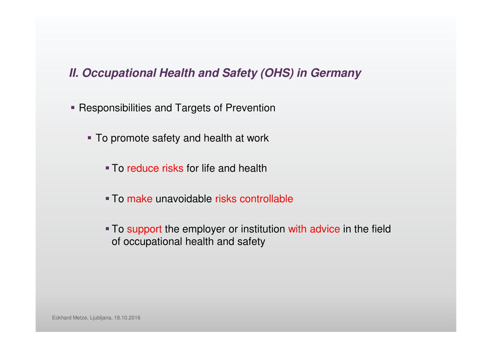- **Responsibilities and Targets of Prevention** 
	- To promote safety and health at work
		- **To reduce risks for life and health**
		- To make unavoidable risks controllable
		- To support the employer or institution with advice in the field of occupational health and safety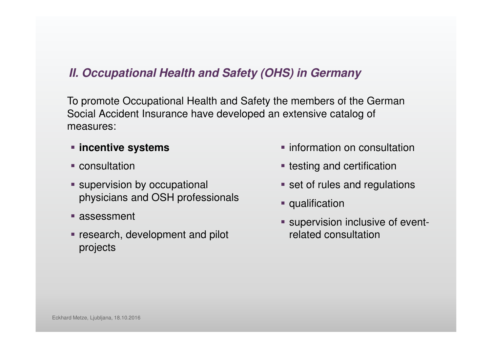To promote Occupational Health and Safety the members of the German Social Accident Insurance have developed an extensive catalog of measures:

- **incentive systems**
- **Consultation**
- **Supervision by occupational** physicians and OSH professionals
- **assessment**
- **Figure 1 research, development and pilot** projects
- **information on consultation**
- **Exercise 2 resting and certification**
- **set of rules and regulations**
- **qualification**
- **Supervision inclusive of event**related consultation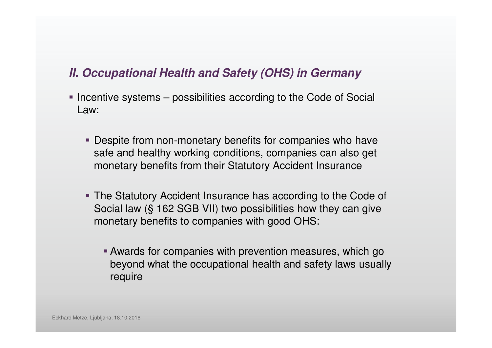- Incentive systems possibilities according to the Code of Social Law:
	- **Despite from non-monetary benefits for companies who have** safe and healthy working conditions, companies can also getmonetary benefits from their Statutory Accident Insurance
	- The Statutory Accident Insurance has according to the Code of Social law (§ 162 SGB VII) two possibilities how they can give monetary benefits to companies with good OHS:
		- Awards for companies with prevention measures, which go beyond what the occupational health and safety laws usually require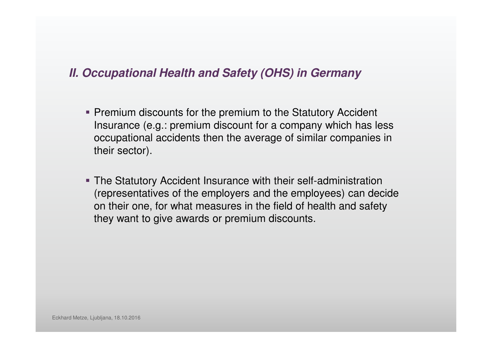- **Premium discounts for the premium to the Statutory Accident** Insurance (e.g.: premium discount for a company which has less occupational accidents then the average of similar companies in their sector).
- The Statutory Accident Insurance with their self-administration (representatives of the employers and the employees) can decide on their one, for what measures in the field of health and safety they want to give awards or premium discounts.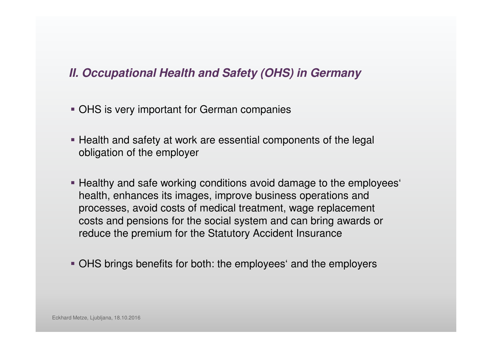- **OHS is very important for German companies**
- **Health and safety at work are essential components of the legal** obligation of the employer
- Healthy and safe working conditions avoid damage to the employees' health, enhances its images, improve business operations and processes, avoid costs of medical treatment, wage replacementcosts and pensions for the social system and can bring awards or reduce the premium for the Statutory Accident Insurance
- OHS brings benefits for both: the employees' and the employers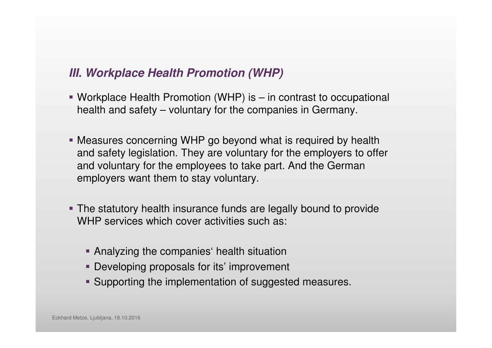- Workplace Health Promotion (WHP) is in contrast to occupational health and safety – voluntary for the companies in Germany.
- Measures concerning WHP go beyond what is required by health and safety legislation. They are voluntary for the employers to offer and voluntary for the employees to take part. And the German employers want them to stay voluntary.
- The statutory health insurance funds are legally bound to provide WHP services which cover activities such as:
	- Analyzing the companies' health situation
	- **Developing proposals for its' improvement**
	- **Supporting the implementation of suggested measures.**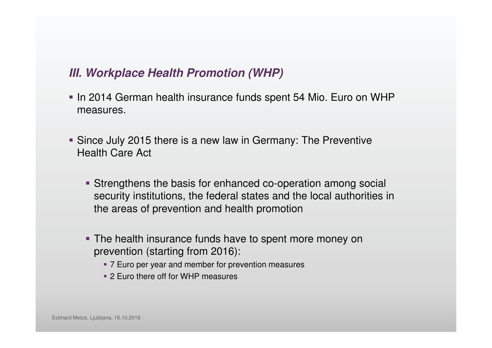- In 2014 German health insurance funds spent 54 Mio. Euro on WHP measures.
- Since July 2015 there is a new law in Germany: The Preventive Health Care Act
	- Strengthens the basis for enhanced co-operation among social security institutions, the federal states and the local authorities in the areas of prevention and health promotion
	- **The health insurance funds have to spent more money on** prevention (starting from 2016):
		- 7 Euro per year and member for prevention measures
		- 2 Euro there off for WHP measures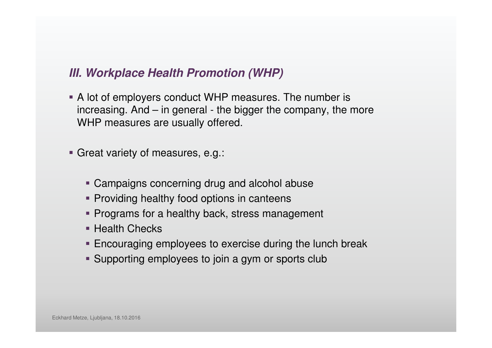A lot of employers conduct WHP measures. The number is increasing. And – in general - the bigger the company, the more WHP measures are usually offered.

Great variety of measures, e.g.:

- Campaigns concerning drug and alcohol abuse
- **Providing healthy food options in canteens**
- **Programs for a healthy back, stress management**
- **Health Checks**
- **Encouraging employees to exercise during the lunch break**
- Supporting employees to join a gym or sports club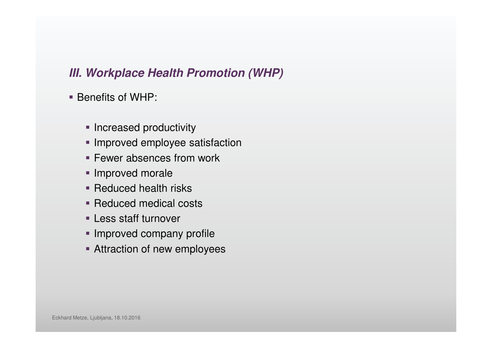- Benefits of WHP:
	- **Increased productivity**
	- **Improved employee satisfaction**
	- **Fewer absences from work**
	- **Improved morale**
	- **Reduced health risks**
	- Reduced medical costs
	- Less staff turnover
	- **Improved company profile**
	- **Attraction of new employees**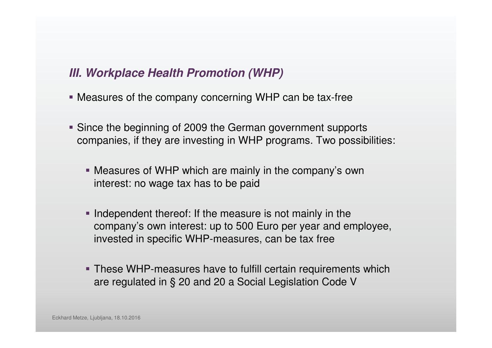- Measures of the company concerning WHP can be tax-free
- Since the beginning of 2009 the German government supports companies, if they are investing in WHP programs. Two possibilities:
	- Measures of WHP which are mainly in the company's own interest: no wage tax has to be paid
	- Independent thereof: If the measure is not mainly in the company's own interest: up to 500 Euro per year and employee, invested in specific WHP-measures, can be tax free
	- **These WHP-measures have to fulfill certain requirements which** are regulated in § 20 and 20 a Social Legislation Code V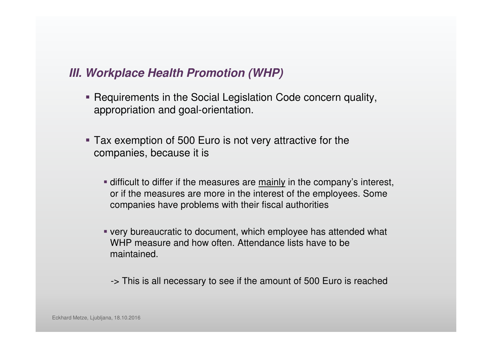- Requirements in the Social Legislation Code concern quality, appropriation and goal-orientation.
- Tax exemption of 500 Euro is not very attractive for the companies, because it is
	- **difficult to differ if the measures are mainly in the company's interest,** or if the measures are more in the interest of the employees. Some companies have problems with their fiscal authorities
	- very bureaucratic to document, which employee has attended what WHP measure and how often. Attendance lists have to be maintained.
		- -> This is all necessary to see if the amount of 500 Euro is reached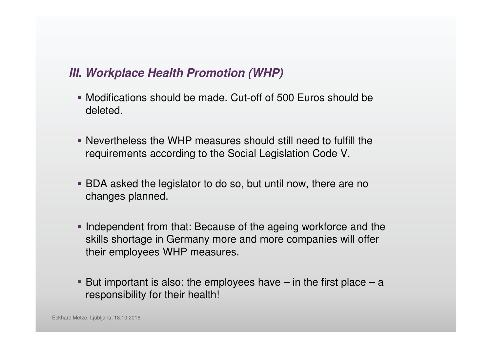- Modifications should be made. Cut-off of 500 Euros should be deleted.
- Nevertheless the WHP measures should still need to fulfill the requirements according to the Social Legislation Code V.
- BDA asked the legislator to do so, but until now, there are no changes planned.
- Independent from that: Because of the ageing workforce and the skills shortage in Germany more and more companies will offer their employees WHP measures.
- But important is also: the employees have  $-$  in the first place  $-$  a responsibility for their health!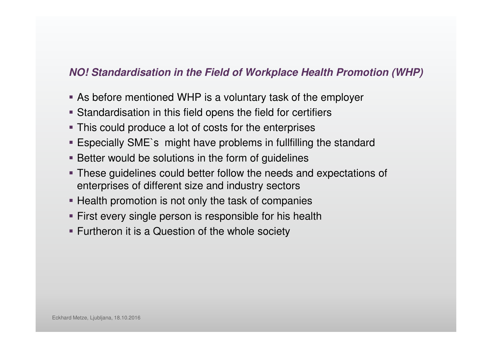## **NO! Standardisation in the Field of Workplace Health Promotion (WHP)**

- As before mentioned WHP is a voluntary task of the employer
- Standardisation in this field opens the field for certifier s
- **This could produce a lot of costs for the enterprises**
- Especially SME`s might have problems in fullfilling the standard
- **Better would be solutions in the form of guidelines**
- These guidelines could better follow the needs and expectations of enterprises of different size and industry sectors
- **Health promotion is not only the task of companies**
- **First every single person is responsible for his health**
- **Furtheron it is a Question of the whole society**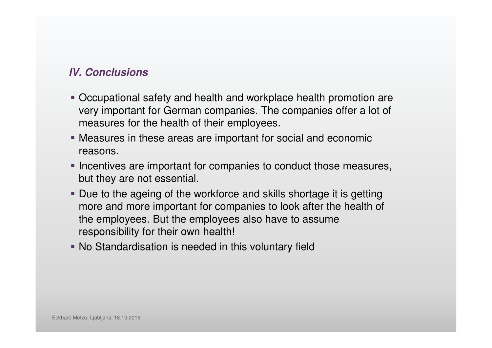#### **IV. Conclusions**

- Occupational safety and health and workplace health promotion are very important for German companies. The companies offer a lot of measures for the health of their employees.
- Measures in these areas are important for social and economic reasons.
- **Incentives are important for companies to conduct those measures,** but they are not essential.
- **Due to the ageing of the workforce and skills shortage it is getting** more and more important for companies to look after the health of the employees. But the employees also have to assume responsibility for their own health!
- No Standardisation is needed in this voluntary field